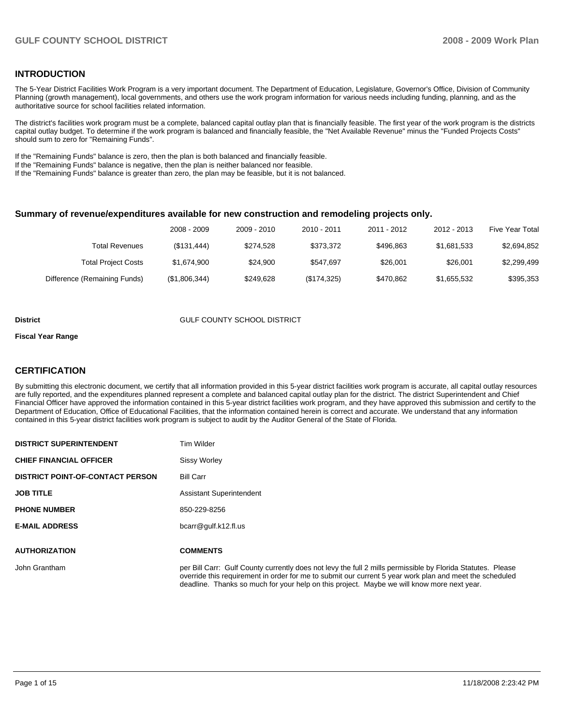### **INTRODUCTION**

The 5-Year District Facilities Work Program is a very important document. The Department of Education, Legislature, Governor's Office, Division of Community Planning (growth management), local governments, and others use the work program information for various needs including funding, planning, and as the authoritative source for school facilities related information.

The district's facilities work program must be a complete, balanced capital outlay plan that is financially feasible. The first year of the work program is the districts capital outlay budget. To determine if the work program is balanced and financially feasible, the "Net Available Revenue" minus the "Funded Projects Costs" should sum to zero for "Remaining Funds".

If the "Remaining Funds" balance is zero, then the plan is both balanced and financially feasible.

If the "Remaining Funds" balance is negative, then the plan is neither balanced nor feasible.

If the "Remaining Funds" balance is greater than zero, the plan may be feasible, but it is not balanced.

#### **Summary of revenue/expenditures available for new construction and remodeling projects only.**

|                              | 2008 - 2009   | 2009 - 2010 | 2010 - 2011 | 2011 - 2012 | 2012 - 2013 | <b>Five Year Total</b> |
|------------------------------|---------------|-------------|-------------|-------------|-------------|------------------------|
| Total Revenues               | (\$131,444)   | \$274.528   | \$373.372   | \$496.863   | \$1,681,533 | \$2,694,852            |
| <b>Total Project Costs</b>   | \$1.674.900   | \$24.900    | \$547.697   | \$26,001    | \$26,001    | \$2,299,499            |
| Difference (Remaining Funds) | (\$1,806,344) | \$249.628   | (\$174,325) | \$470.862   | \$1,655,532 | \$395,353              |

#### **District COUNTY SCHOOL DISTRICT**

#### **Fiscal Year Range**

#### **CERTIFICATION**

By submitting this electronic document, we certify that all information provided in this 5-year district facilities work program is accurate, all capital outlay resources are fully reported, and the expenditures planned represent a complete and balanced capital outlay plan for the district. The district Superintendent and Chief Financial Officer have approved the information contained in this 5-year district facilities work program, and they have approved this submission and certify to the Department of Education, Office of Educational Facilities, that the information contained herein is correct and accurate. We understand that any information contained in this 5-year district facilities work program is subject to audit by the Auditor General of the State of Florida.

| <b>DISTRICT SUPERINTENDENT</b>          | Tim Wilder                                                                                                                                                                                                                                                                                                           |
|-----------------------------------------|----------------------------------------------------------------------------------------------------------------------------------------------------------------------------------------------------------------------------------------------------------------------------------------------------------------------|
| <b>CHIEF FINANCIAL OFFICER</b>          | <b>Sissy Worley</b>                                                                                                                                                                                                                                                                                                  |
| <b>DISTRICT POINT-OF-CONTACT PERSON</b> | <b>Bill Carr</b>                                                                                                                                                                                                                                                                                                     |
| <b>JOB TITLE</b>                        | <b>Assistant Superintendent</b>                                                                                                                                                                                                                                                                                      |
| <b>PHONE NUMBER</b>                     | 850-229-8256                                                                                                                                                                                                                                                                                                         |
| <b>E-MAIL ADDRESS</b>                   | bcarr@gulf.k12.fl.us                                                                                                                                                                                                                                                                                                 |
| <b>AUTHORIZATION</b>                    | <b>COMMENTS</b>                                                                                                                                                                                                                                                                                                      |
|                                         |                                                                                                                                                                                                                                                                                                                      |
| John Grantham                           | per Bill Carr: Gulf County currently does not levy the full 2 mills permissible by Florida Statutes. Please<br>override this requirement in order for me to submit our current 5 year work plan and meet the scheduled<br>deadline. Thanks so much for your help on this project. Maybe we will know more next year. |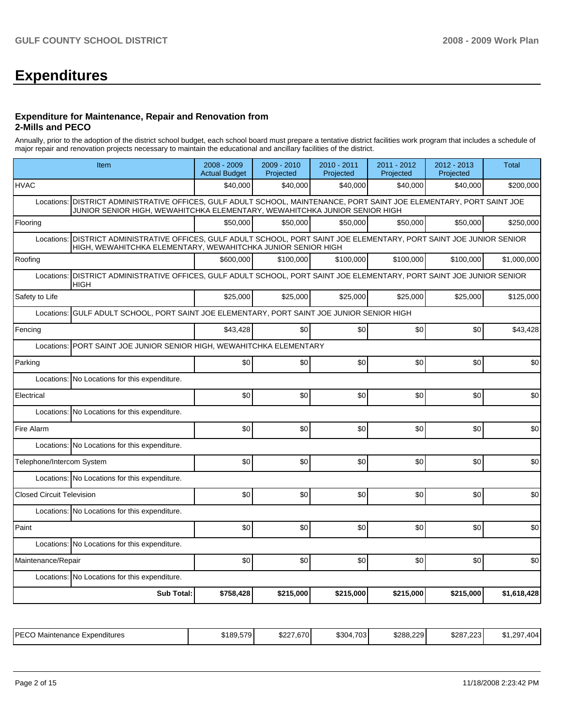## **Expenditures**

#### **Expenditure for Maintenance, Repair and Renovation from 2-Mills and PECO**

Annually, prior to the adoption of the district school budget, each school board must prepare a tentative district facilities work program that includes a schedule of major repair and renovation projects necessary to maintain the educational and ancillary facilities of the district.

|                                                                      | Item                                                                                                                                                                                                  | 2008 - 2009<br><b>Actual Budget</b> | 2009 - 2010<br>Projected | $2010 - 2011$<br>Projected | 2011 - 2012<br>Projected | 2012 - 2013<br>Projected | <b>Total</b> |  |  |  |
|----------------------------------------------------------------------|-------------------------------------------------------------------------------------------------------------------------------------------------------------------------------------------------------|-------------------------------------|--------------------------|----------------------------|--------------------------|--------------------------|--------------|--|--|--|
| <b>HVAC</b>                                                          |                                                                                                                                                                                                       | \$40.000                            | \$40,000                 | \$40,000                   | \$40,000                 | \$40.000                 | \$200,000    |  |  |  |
|                                                                      | Locations:   DISTRICT ADMINISTRATIVE OFFICES, GULF ADULT SCHOOL, MAINTENANCE, PORT SAINT JOE ELEMENTARY, PORT SAINT JOE<br>JUNIOR SENIOR HIGH, WEWAHITCHKA ELEMENTARY, WEWAHITCHKA JUNIOR SENIOR HIGH |                                     |                          |                            |                          |                          |              |  |  |  |
| Flooring                                                             |                                                                                                                                                                                                       | \$50.000                            | \$50.000                 | \$50,000                   | \$50.000                 | \$50.000                 | \$250,000    |  |  |  |
| Locations:                                                           | DISTRICT ADMINISTRATIVE OFFICES, GULF ADULT SCHOOL, PORT SAINT JOE ELEMENTARY, PORT SAINT JOE JUNIOR SENIOR<br>HIGH, WEWAHITCHKA ELEMENTARY, WEWAHITCHKA JUNIOR SENIOR HIGH                           |                                     |                          |                            |                          |                          |              |  |  |  |
| Roofing                                                              |                                                                                                                                                                                                       | \$600.000                           | \$100,000                | \$100,000                  | \$100,000                | \$100,000                | \$1,000,000  |  |  |  |
| Locations:                                                           | DISTRICT ADMINISTRATIVE OFFICES, GULF ADULT SCHOOL, PORT SAINT JOE ELEMENTARY, PORT SAINT JOE JUNIOR SENIOR<br><b>HIGH</b>                                                                            |                                     |                          |                            |                          |                          |              |  |  |  |
| Safety to Life                                                       |                                                                                                                                                                                                       | \$25,000                            | \$25.000                 | \$25,000                   | \$25,000                 | \$25,000                 | \$125,000    |  |  |  |
|                                                                      | Locations: GULF ADULT SCHOOL, PORT SAINT JOE ELEMENTARY, PORT SAINT JOE JUNIOR SENIOR HIGH                                                                                                            |                                     |                          |                            |                          |                          |              |  |  |  |
| Fencing                                                              |                                                                                                                                                                                                       | \$43,428                            | \$0                      | \$0                        | \$0                      | \$0                      | \$43,428     |  |  |  |
| Locations: PORT SAINT JOE JUNIOR SENIOR HIGH, WEWAHITCHKA ELEMENTARY |                                                                                                                                                                                                       |                                     |                          |                            |                          |                          |              |  |  |  |
| Parking                                                              |                                                                                                                                                                                                       | \$0                                 | \$0                      | \$0                        | \$0                      | \$0                      | \$0          |  |  |  |
|                                                                      | Locations: No Locations for this expenditure.                                                                                                                                                         |                                     |                          |                            |                          |                          |              |  |  |  |
| Electrical                                                           |                                                                                                                                                                                                       | \$0                                 | \$0                      | \$0                        | \$0                      | \$0                      | \$0          |  |  |  |
|                                                                      | Locations: No Locations for this expenditure.                                                                                                                                                         |                                     |                          |                            |                          |                          |              |  |  |  |
| Fire Alarm                                                           |                                                                                                                                                                                                       | \$0                                 | \$0                      | \$0                        | \$0                      | \$0                      | \$0          |  |  |  |
|                                                                      | Locations: No Locations for this expenditure.                                                                                                                                                         |                                     |                          |                            |                          |                          |              |  |  |  |
| Telephone/Intercom System                                            |                                                                                                                                                                                                       | \$0                                 | \$0                      | \$0                        | \$0                      | \$0                      | \$0          |  |  |  |
|                                                                      | Locations: No Locations for this expenditure.                                                                                                                                                         |                                     |                          |                            |                          |                          |              |  |  |  |
| <b>Closed Circuit Television</b>                                     |                                                                                                                                                                                                       | \$0                                 | \$0                      | \$0                        | \$0                      | \$0                      | \$0          |  |  |  |
|                                                                      | Locations: No Locations for this expenditure.                                                                                                                                                         |                                     |                          |                            |                          |                          |              |  |  |  |
| Paint                                                                |                                                                                                                                                                                                       | \$0                                 | \$0                      | \$0                        | \$0                      | \$0                      | \$0          |  |  |  |
|                                                                      | Locations: No Locations for this expenditure.                                                                                                                                                         |                                     |                          |                            |                          |                          |              |  |  |  |
| Maintenance/Repair                                                   |                                                                                                                                                                                                       | \$0                                 | \$0                      | \$0                        | \$0                      | \$0                      | \$0          |  |  |  |
|                                                                      | Locations: No Locations for this expenditure.                                                                                                                                                         |                                     |                          |                            |                          |                          |              |  |  |  |
|                                                                      | <b>Sub Total:</b>                                                                                                                                                                                     | \$758,428                           | \$215,000                | \$215,000                  | \$215,000                | \$215,000                | \$1,618,428  |  |  |  |
|                                                                      |                                                                                                                                                                                                       |                                     |                          |                            |                          |                          |              |  |  |  |

| <b>IPECO</b><br>Maintenance<br>Expenditures | \$189.579 | \$227.670 | \$304.703 | \$288.229 | \$287.223 | .404<br>\$1.297 |
|---------------------------------------------|-----------|-----------|-----------|-----------|-----------|-----------------|
|---------------------------------------------|-----------|-----------|-----------|-----------|-----------|-----------------|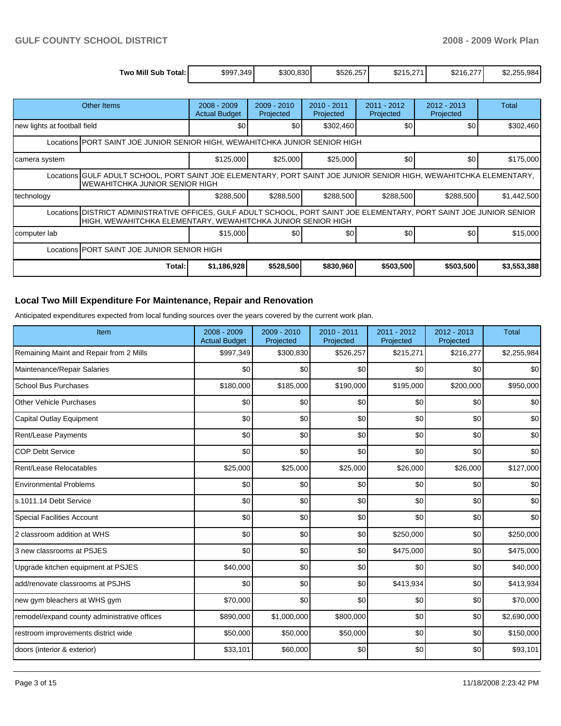| Two Mill<br>Sub<br>Total: | \$997,349 | \$300.830 | \$526.257 | 074<br>\$215,2 | $\sim$<br>\$216,2 | ሖ<br>1.25F<br>$\sim$ $\sim$ $\sim$<br>\$2.255.984 |
|---------------------------|-----------|-----------|-----------|----------------|-------------------|---------------------------------------------------|

|                                                                                                                                                      | Other Items                                                                                                                                                                             | $2008 - 2009$<br><b>Actual Budget</b> | $2009 - 2010$<br>Projected | 2010 - 2011<br>Projected | $2011 - 2012$<br>Projected | 2012 - 2013<br>Projected | Total       |  |  |  |
|------------------------------------------------------------------------------------------------------------------------------------------------------|-----------------------------------------------------------------------------------------------------------------------------------------------------------------------------------------|---------------------------------------|----------------------------|--------------------------|----------------------------|--------------------------|-------------|--|--|--|
| new lights at football field                                                                                                                         |                                                                                                                                                                                         | \$0                                   | \$0                        | \$302,460                | \$0                        | \$0                      | \$302,460   |  |  |  |
| Locations PORT SAINT JOE JUNIOR SENIOR HIGH, WEWAHITCHKA JUNIOR SENIOR HIGH                                                                          |                                                                                                                                                                                         |                                       |                            |                          |                            |                          |             |  |  |  |
| camera system                                                                                                                                        |                                                                                                                                                                                         | \$125,000                             | \$25,000                   | \$25,000                 | \$0                        | \$0                      | \$175,000   |  |  |  |
| Locations GULF ADULT SCHOOL, PORT SAINT JOE ELEMENTARY, PORT SAINT JOE JUNIOR SENIOR HIGH, WEWAHITCHKA ELEMENTARY,<br>WEWAHITCHKA JUNIOR SENIOR HIGH |                                                                                                                                                                                         |                                       |                            |                          |                            |                          |             |  |  |  |
| technology                                                                                                                                           |                                                                                                                                                                                         | \$288,500                             | \$288,500                  | \$288,500                | \$288,500                  | \$288,500                | \$1,442,500 |  |  |  |
|                                                                                                                                                      | Locations   DISTRICT ADMINISTRATIVE OFFICES, GULF ADULT SCHOOL, PORT SAINT JOE ELEMENTARY, PORT SAINT JOE JUNIOR SENIOR<br>HIGH, WEWAHITCHKA ELEMENTARY, WEWAHITCHKA JUNIOR SENIOR HIGH |                                       |                            |                          |                            |                          |             |  |  |  |
| computer lab                                                                                                                                         |                                                                                                                                                                                         | \$15,000                              | \$0                        | \$0                      | \$0                        | \$0                      | \$15,000    |  |  |  |
|                                                                                                                                                      | Locations IPORT SAINT JOE JUNIOR SENIOR HIGH                                                                                                                                            |                                       |                            |                          |                            |                          |             |  |  |  |
|                                                                                                                                                      | Total:                                                                                                                                                                                  | \$1,186,928                           | \$528,500                  | \$830,960                | \$503,500                  | \$503,500                | \$3,553,388 |  |  |  |

### **Local Two Mill Expenditure For Maintenance, Repair and Renovation**

Anticipated expenditures expected from local funding sources over the years covered by the current work plan.

| Item                                         | 2008 - 2009<br><b>Actual Budget</b> | 2009 - 2010<br>Projected | $2010 - 2011$<br>Projected | 2011 - 2012<br>Projected | $2012 - 2013$<br>Projected | <b>Total</b> |
|----------------------------------------------|-------------------------------------|--------------------------|----------------------------|--------------------------|----------------------------|--------------|
| Remaining Maint and Repair from 2 Mills      | \$997,349                           | \$300,830                | \$526,257                  | \$215,271                | \$216,277                  | \$2,255,984  |
| Maintenance/Repair Salaries                  | \$0                                 | \$0                      | \$0                        | \$0                      | \$0                        | \$0          |
| <b>School Bus Purchases</b>                  | \$180,000                           | \$185,000                | \$190,000                  | \$195,000                | \$200,000                  | \$950,000    |
| <b>Other Vehicle Purchases</b>               | \$0                                 | \$0                      | \$0                        | \$0                      | \$0                        | \$0          |
| Capital Outlay Equipment                     | \$0                                 | \$0                      | \$0                        | \$0                      | \$0                        | \$0          |
| Rent/Lease Payments                          | \$0                                 | \$0                      | \$0                        | \$0                      | \$0                        | \$0          |
| <b>COP Debt Service</b>                      | \$0                                 | \$0                      | \$0                        | \$0                      | \$0                        | \$0          |
| Rent/Lease Relocatables                      | \$25,000                            | \$25,000                 | \$25,000                   | \$26,000                 | \$26,000                   | \$127,000    |
| <b>Environmental Problems</b>                | \$0                                 | \$0                      | \$0                        | \$0                      | \$0                        | \$0          |
| s.1011.14 Debt Service                       | \$0                                 | \$0                      | \$0                        | \$0                      | \$0                        | \$0          |
| <b>Special Facilities Account</b>            | \$0                                 | \$0                      | \$0                        | \$0                      | \$0                        | \$0          |
| 2 classroom addition at WHS                  | \$0                                 | \$0                      | \$0                        | \$250,000                | \$0                        | \$250,000    |
| 3 new classrooms at PSJES                    | \$0                                 | \$0                      | \$0                        | \$475,000                | \$0                        | \$475,000    |
| Upgrade kitchen equipment at PSJES           | \$40,000                            | \$0                      | \$0                        | \$0                      | \$0                        | \$40,000     |
| add/renovate classrooms at PSJHS             | \$0                                 | \$0                      | \$0                        | \$413,934                | \$0                        | \$413,934    |
| new gym bleachers at WHS gym                 | \$70,000                            | \$0                      | \$0                        | \$0                      | \$0                        | \$70,000     |
| remodel/expand county administrative offices | \$890,000                           | \$1,000,000              | \$800,000                  | \$0                      | \$0                        | \$2,690,000  |
| restroom improvements district wide          | \$50,000                            | \$50,000                 | \$50,000                   | \$0                      | \$0                        | \$150,000    |
| doors (interior & exterior)                  | \$33,101                            | \$60,000                 | \$0                        | \$0                      | \$0                        | \$93,101     |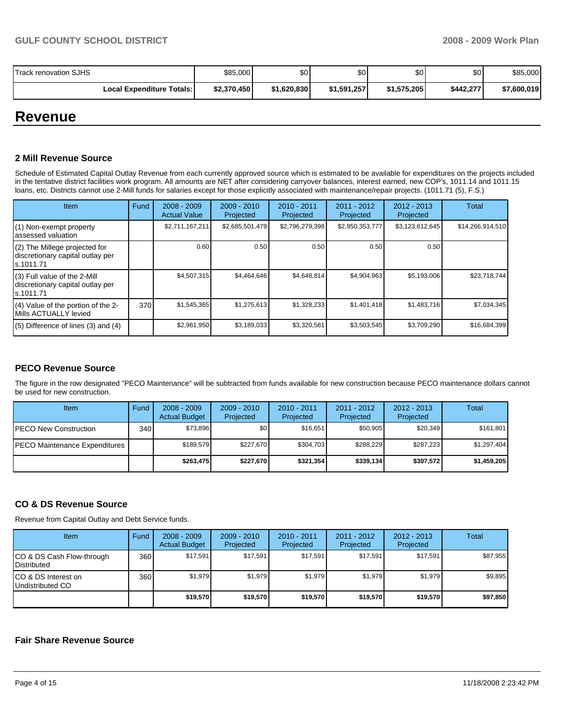| <b>Track renovation SJHS</b>     | \$85,000    | \$0         | \$0         | \$0 <sub>1</sub> | \$0       | \$85,000    |
|----------------------------------|-------------|-------------|-------------|------------------|-----------|-------------|
| <b>Local Expenditure Totals:</b> | \$2,370,450 | \$1,620,830 | \$1,591,257 | \$1,575,205      | \$442,277 | \$7,600,019 |

## **Revenue**

### **2 Mill Revenue Source**

Schedule of Estimated Capital Outlay Revenue from each currently approved source which is estimated to be available for expenditures on the projects included in the tentative district facilities work program. All amounts are NET after considering carryover balances, interest earned, new COP's, 1011.14 and 1011.15 loans, etc. Districts cannot use 2-Mill funds for salaries except for those explicitly associated with maintenance/repair projects. (1011.71 (5), F.S.)

| Item                                                                            | Fund | $2008 - 2009$<br><b>Actual Value</b> | $2009 - 2010$<br>Projected | $2010 - 2011$<br>Projected | 2011 - 2012<br>Projected | $2012 - 2013$<br>Projected | Total            |
|---------------------------------------------------------------------------------|------|--------------------------------------|----------------------------|----------------------------|--------------------------|----------------------------|------------------|
| (1) Non-exempt property<br>assessed valuation                                   |      | \$2,711,167,211                      | \$2,685,501,479            | \$2,796,279,398            | \$2,950,353,777          | \$3,123,612,645            | \$14,266,914,510 |
| (2) The Millege projected for<br>discretionary capital outlay per<br>ls.1011.71 |      | 0.60                                 | 0.50                       | 0.50                       | 0.50                     | 0.50                       |                  |
| (3) Full value of the 2-Mill<br>discretionary capital outlay per<br>ls.1011.71  |      | \$4,507,315                          | \$4,464,646                | \$4,648,814                | \$4,904,963              | \$5,193,006                | \$23,718,744     |
| (4) Value of the portion of the 2-<br>Mills ACTUALLY levied                     | 370  | \$1,545,365                          | \$1,275,613                | \$1,328,233                | \$1,401,418              | \$1,483,716                | \$7,034,345      |
| $(5)$ Difference of lines $(3)$ and $(4)$                                       |      | \$2,961,950                          | \$3,189,033                | \$3,320,581                | \$3,503,545              | \$3,709,290                | \$16,684,399     |

## **PECO Revenue Source**

The figure in the row designated "PECO Maintenance" will be subtracted from funds available for new construction because PECO maintenance dollars cannot be used for new construction.

| Item                          | Fund             | $2008 - 2009$<br><b>Actual Budget</b> | $2009 - 2010$<br>Projected | $2010 - 2011$<br>Projected | 2011 - 2012<br>Projected | $2012 - 2013$<br>Projected | Total       |
|-------------------------------|------------------|---------------------------------------|----------------------------|----------------------------|--------------------------|----------------------------|-------------|
| <b>IPECO New Construction</b> | 340 <sup>1</sup> | \$73.896                              | \$0 <sub>1</sub>           | \$16.651                   | \$50,905                 | \$20,349                   | \$161,801   |
| PECO Maintenance Expenditures |                  | \$189,579                             | \$227.670                  | \$304.703                  | \$288.229                | \$287.223                  | \$1,297,404 |
|                               |                  | \$263,475                             | \$227,670                  | \$321,354                  | \$339.134                | \$307,572                  | \$1,459,205 |

## **CO & DS Revenue Source**

Revenue from Capital Outlay and Debt Service funds.

| Item                                               | Fund | $2008 - 2009$<br><b>Actual Budget</b> | $2009 - 2010$<br>Projected | $2010 - 2011$<br>Projected | $2011 - 2012$<br>Projected | $2012 - 2013$<br>Projected | Total    |
|----------------------------------------------------|------|---------------------------------------|----------------------------|----------------------------|----------------------------|----------------------------|----------|
| ICO & DS Cash Flow-through<br><b>I</b> Distributed | 360  | \$17,591                              | \$17,591                   | \$17.591                   | \$17,591                   | \$17,591                   | \$87,955 |
| ICO & DS Interest on<br>Undistributed CO           | 360  | \$1,979                               | \$1,979                    | \$1,979                    | \$1.979                    | \$1,979                    | \$9,895  |
|                                                    |      | \$19,570                              | \$19,570                   | \$19,570                   | \$19,570                   | \$19,570                   | \$97,850 |

### **Fair Share Revenue Source**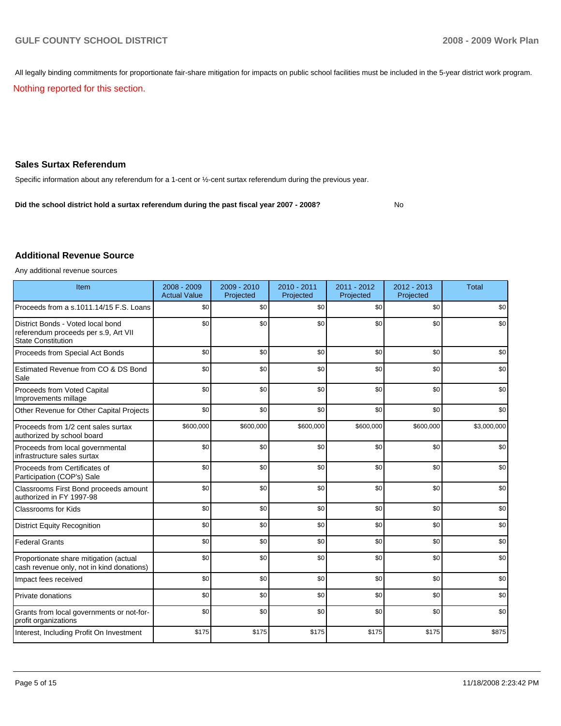All legally binding commitments for proportionate fair-share mitigation for impacts on public school facilities must be included in the 5-year district work program.

Nothing reported for this section.

### **Sales Surtax Referendum**

Specific information about any referendum for a 1-cent or ½-cent surtax referendum during the previous year.

**Did the school district hold a surtax referendum during the past fiscal year 2007 - 2008?** No

#### **Additional Revenue Source**

Any additional revenue sources

| Item                                                                                                   | $2008 - 2009$<br><b>Actual Value</b> | $2009 - 2010$<br>Projected | $2010 - 2011$<br>Projected | 2011 - 2012<br>Projected | 2012 - 2013<br>Projected | <b>Total</b> |
|--------------------------------------------------------------------------------------------------------|--------------------------------------|----------------------------|----------------------------|--------------------------|--------------------------|--------------|
| Proceeds from a s.1011.14/15 F.S. Loans                                                                | \$0                                  | \$0                        | \$0                        | \$0                      | \$0                      | \$0          |
| District Bonds - Voted local bond<br>referendum proceeds per s.9, Art VII<br><b>State Constitution</b> | \$0                                  | \$0                        | \$0                        | \$0                      | \$0                      | \$0          |
| Proceeds from Special Act Bonds                                                                        | \$0                                  | \$0                        | \$0                        | \$0                      | \$0                      | \$0          |
| Estimated Revenue from CO & DS Bond<br>Sale                                                            | \$0                                  | \$0                        | \$0                        | \$0                      | \$0                      | \$0          |
| Proceeds from Voted Capital<br>Improvements millage                                                    | \$0                                  | \$0                        | \$0                        | \$0                      | \$0                      | \$0          |
| Other Revenue for Other Capital Projects                                                               | \$0                                  | \$0                        | \$0                        | \$0                      | \$0                      | \$0          |
| Proceeds from 1/2 cent sales surtax<br>authorized by school board                                      | \$600,000                            | \$600,000                  | \$600,000                  | \$600,000                | \$600,000                | \$3,000,000  |
| Proceeds from local governmental<br>infrastructure sales surtax                                        | \$0                                  | \$0                        | \$0                        | \$0                      | \$0                      | \$0          |
| Proceeds from Certificates of<br>Participation (COP's) Sale                                            | \$0                                  | \$0                        | \$0                        | \$0                      | \$0                      | \$0          |
| Classrooms First Bond proceeds amount<br>authorized in FY 1997-98                                      | \$0                                  | \$0                        | \$0                        | \$0                      | \$0                      | \$0          |
| Classrooms for Kids                                                                                    | \$0                                  | \$0                        | \$0                        | \$0                      | \$0                      | \$0          |
| <b>District Equity Recognition</b>                                                                     | \$0                                  | \$0                        | \$0                        | \$0                      | \$0                      | \$0          |
| <b>Federal Grants</b>                                                                                  | \$0                                  | \$0                        | \$0                        | \$0                      | \$0                      | \$0          |
| Proportionate share mitigation (actual<br>cash revenue only, not in kind donations)                    | \$0                                  | \$0                        | \$0                        | \$0                      | \$0                      | \$0          |
| Impact fees received                                                                                   | \$0                                  | \$0                        | \$0                        | \$0                      | \$0                      | \$0          |
| Private donations                                                                                      | \$0                                  | \$0                        | \$0                        | \$0                      | \$0                      | \$0          |
| Grants from local governments or not-for-<br>profit organizations                                      | \$0                                  | \$0                        | \$0                        | \$0                      | \$0                      | \$0          |
| Interest, Including Profit On Investment                                                               | \$175                                | \$175                      | \$175                      | \$175                    | \$175                    | \$875        |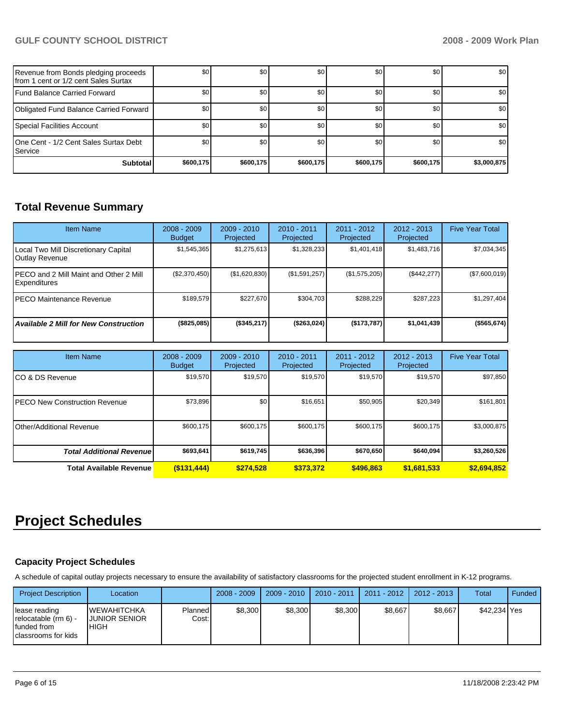## **GULF COUNTY SCHOOL DISTRICT 2008 - 2009 Work Plan**

| Revenue from Bonds pledging proceeds<br>Ifrom 1 cent or 1/2 cent Sales Surtax | \$0       | \$0       | \$0       | \$0              | \$0              | \$0              |
|-------------------------------------------------------------------------------|-----------|-----------|-----------|------------------|------------------|------------------|
| Fund Balance Carried Forward                                                  | \$0       | \$0       | \$0       | \$0 <sub>1</sub> | \$0              | \$0              |
| Obligated Fund Balance Carried Forward                                        | \$0       | \$0       | \$0       | \$0              | <b>SO</b>        | \$0              |
| Special Facilities Account                                                    | \$0       | \$0       | \$0       | \$0              | \$0 <sub>1</sub> | \$0 <sub>1</sub> |
| 10ne Cent - 1/2 Cent Sales Surtax Debt<br><b>I</b> Service                    | \$0       | \$0       | \$0       | \$0              | \$0              | \$0              |
| <b>Subtotal</b>                                                               | \$600,175 | \$600,175 | \$600,175 | \$600,175        | \$600,175        | \$3,000,875      |

## **Total Revenue Summary**

| <b>Item Name</b>                                        | $2008 - 2009$<br><b>Budget</b> | $2009 - 2010$<br>Projected | $2010 - 2011$<br><b>Projected</b> | 2011 - 2012<br>Projected | $2012 - 2013$<br>Projected | <b>Five Year Total</b> |
|---------------------------------------------------------|--------------------------------|----------------------------|-----------------------------------|--------------------------|----------------------------|------------------------|
| Local Two Mill Discretionary Capital<br>Outlay Revenue  | \$1,545,365                    | \$1,275,613                | \$1,328,233                       | \$1,401,418              | \$1,483,716                | \$7,034,345            |
| IPECO and 2 Mill Maint and Other 2 Mill<br>Expenditures | (\$2,370,450)                  | (\$1,620,830)              | (\$1,591,257)                     | (\$1,575,205)            | (\$442,277)                | (\$7,600,019)          |
| IPECO Maintenance Revenue                               | \$189.579                      | \$227.670                  | \$304,703                         | \$288.229                | \$287,223                  | \$1,297,404            |
| <b>Available 2 Mill for New Construction</b>            | (\$825,085)                    | (\$345,217)                | (\$263,024)                       | (\$173,787)              | \$1,041,439                | (\$565,674)            |

| <b>Item Name</b>                 | $2008 - 2009$<br><b>Budget</b> | $2009 - 2010$<br>Projected | 2010 - 2011<br>Projected | 2011 - 2012<br>Projected | $2012 - 2013$<br>Projected | <b>Five Year Total</b> |
|----------------------------------|--------------------------------|----------------------------|--------------------------|--------------------------|----------------------------|------------------------|
| ICO & DS Revenue                 | \$19,570                       | \$19,570                   | \$19,570                 | \$19,570                 | \$19,570                   | \$97,850               |
| IPECO New Construction Revenue   | \$73,896                       | \$0 <sub>1</sub>           | \$16,651                 | \$50,905                 | \$20,349                   | \$161,801              |
| Other/Additional Revenue         | \$600,175                      | \$600.175                  | \$600.175                | \$600,175                | \$600.175                  | \$3,000,875            |
| <b>Total Additional Revenuel</b> | \$693,641                      | \$619,745                  | \$636,396                | \$670,650                | \$640.094                  | \$3,260,526            |
| <b>Total Available Revenue</b>   | $($ \$131,444)                 | \$274.528                  | \$373.372                | \$496,863                | \$1,681,533                | \$2,694,852            |

# **Project Schedules**

## **Capacity Project Schedules**

A schedule of capital outlay projects necessary to ensure the availability of satisfactory classrooms for the projected student enrollment in K-12 programs.

| <b>Project Description</b>                                                      | Location                                     |                  | $2008 - 2009$ | $2009 - 2010$ | $2010 - 2011$ | 2011 - 2012 | $2012 - 2013$ | <b>Total</b> | Funded |
|---------------------------------------------------------------------------------|----------------------------------------------|------------------|---------------|---------------|---------------|-------------|---------------|--------------|--------|
| llease reading<br>relocatable (rm 6) -<br>l funded from<br>'classrooms for kids | <b>WEWAHITCHKA</b><br>IJUNIOR SENIOR<br>HIGH | Planned<br>Cost: | \$8.300       | \$8,300       | \$8.300       | \$8.667     | \$8.667       | \$42.234 Yes |        |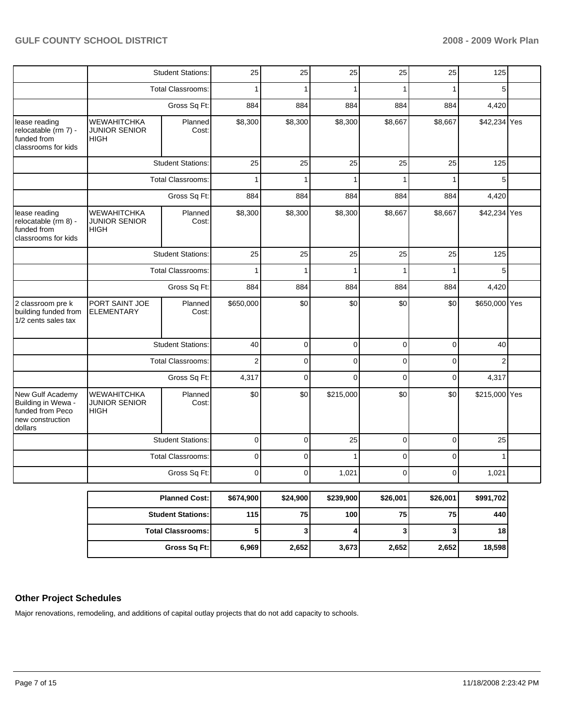|                                                                                           |                                                           | <b>Student Stations:</b> | 25             | 25       | 25        | 25          | 25          | 125           |  |
|-------------------------------------------------------------------------------------------|-----------------------------------------------------------|--------------------------|----------------|----------|-----------|-------------|-------------|---------------|--|
|                                                                                           |                                                           | <b>Total Classrooms:</b> | 1              | 1        | 1         |             |             | 5             |  |
|                                                                                           |                                                           | Gross Sq Ft:             | 884            | 884      | 884       | 884         | 884         | 4,420         |  |
| lease reading<br>relocatable (rm 7) -<br>funded from<br>classrooms for kids               | <b>WEWAHITCHKA</b><br><b>JUNIOR SENIOR</b><br><b>HIGH</b> | Planned<br>Cost:         | \$8,300        | \$8,300  | \$8,300   | \$8,667     | \$8,667     | \$42,234 Yes  |  |
|                                                                                           |                                                           | <b>Student Stations:</b> | 25             | 25       | 25        | 25          | 25          | 125           |  |
|                                                                                           |                                                           | <b>Total Classrooms:</b> |                |          |           |             |             | 5             |  |
|                                                                                           |                                                           | Gross Sq Ft:             |                | 884      | 884       | 884         | 884         | 4,420         |  |
| lease reading<br>relocatable (rm 8) -<br>funded from<br>classrooms for kids               | WEWAHITCHKA<br><b>JUNIOR SENIOR</b><br><b>HIGH</b>        | Planned<br>Cost:         | \$8,300        | \$8,300  | \$8,300   | \$8,667     | \$8,667     | \$42,234 Yes  |  |
|                                                                                           |                                                           | <b>Student Stations:</b> | 25             | 25       | 25        | 25          | 25          | 125           |  |
|                                                                                           |                                                           | <b>Total Classrooms:</b> | 1              | 1        | 1         |             |             | 5             |  |
|                                                                                           | Gross Sq Ft:                                              |                          | 884            | 884      | 884       | 884         | 884         | 4,420         |  |
| 2 classroom pre k<br>building funded from<br>1/2 cents sales tax                          | PORT SAINT JOE<br><b>ELEMENTARY</b>                       | Planned<br>Cost:         | \$650,000      | \$0      | \$0       | \$0         | \$0         | \$650,000 Yes |  |
|                                                                                           |                                                           | <b>Student Stations:</b> | 40             | 0        | 0         | $\mathbf 0$ | $\mathbf 0$ | 40            |  |
|                                                                                           |                                                           | <b>Total Classrooms:</b> | $\overline{2}$ | 0        | 0         | 0           | 0           | 2             |  |
|                                                                                           |                                                           | Gross Sq Ft:             | 4,317          | 0        | $\Omega$  | 0           | $\mathbf 0$ | 4,317         |  |
| New Gulf Academy<br>Building in Wewa -<br>funded from Peco<br>new construction<br>dollars | <b>WEWAHITCHKA</b><br><b>JUNIOR SENIOR</b><br><b>HIGH</b> | Planned<br>Cost:         | \$0            | \$0      | \$215,000 | \$0         | \$0         | \$215,000 Yes |  |
|                                                                                           |                                                           | <b>Student Stations:</b> | $\mathbf 0$    | 0        | 25        | $\mathbf 0$ | $\mathbf 0$ | 25            |  |
|                                                                                           |                                                           | <b>Total Classrooms:</b> | 0              | 0        | 1         | 0           | 0           |               |  |
|                                                                                           |                                                           | Gross Sq Ft:             | 0              | 0        | 1,021     | 0           | 0           | 1,021         |  |
|                                                                                           |                                                           | <b>Planned Cost:</b>     | \$674,900      | \$24,900 | \$239,900 | \$26,001    | \$26,001    | \$991,702     |  |
|                                                                                           |                                                           | <b>Student Stations:</b> | 115            | 75       | 100       | 75          | 75          | 440           |  |
|                                                                                           |                                                           | <b>Total Classrooms:</b> | 5              | 3        | 4         | 3           | 3           | 18            |  |
|                                                                                           |                                                           | <b>Gross Sq Ft:</b>      | 6,969          | 2,652    | 3,673     | 2,652       | 2,652       | 18,598        |  |

## **Other Project Schedules**

Major renovations, remodeling, and additions of capital outlay projects that do not add capacity to schools.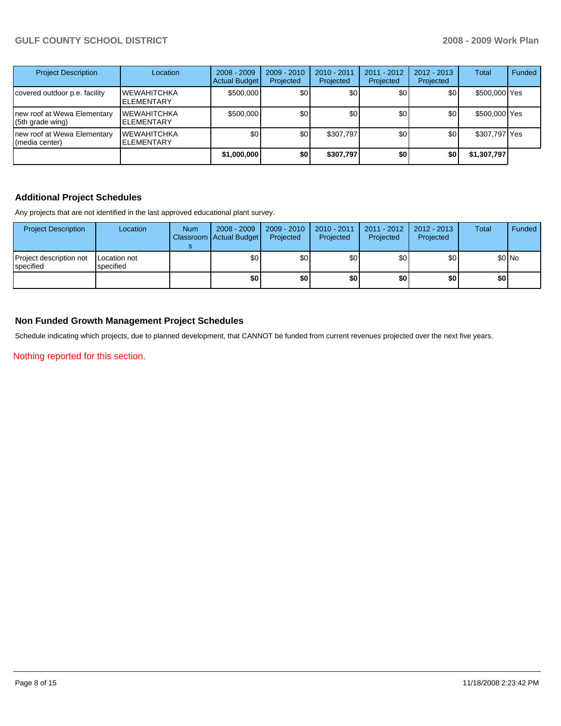## **GULF COUNTY SCHOOL DISTRICT 2008 - 2009 Work Plan**

| <b>Project Description</b>                      | Location                                 | $2008 - 2009$<br><b>Actual Budget</b> | $2009 - 2010$<br>Projected | 2010 - 2011<br>Projected | 2011 - 2012<br>Projected | $2012 - 2013$<br>Projected | Total         | Funded |
|-------------------------------------------------|------------------------------------------|---------------------------------------|----------------------------|--------------------------|--------------------------|----------------------------|---------------|--------|
| covered outdoor p.e. facility                   | <b>IWEWAHITCHKA</b><br><b>ELEMENTARY</b> | \$500,000                             | \$0                        | \$0 <sub>1</sub>         | \$0                      | \$0                        | \$500,000 Yes |        |
| new roof at Wewa Elementary<br>(5th grade wing) | <b>IWEWAHITCHKA</b><br><b>ELEMENTARY</b> | \$500,000                             | \$0                        | \$0                      | \$0                      | \$0                        | \$500,000 Yes |        |
| new roof at Wewa Elementary<br>(media center)   | <b>IWEWAHITCHKA</b><br><b>ELEMENTARY</b> | \$0                                   | \$0 <sub>1</sub>           | \$307,797                | \$0                      | \$0                        | \$307,797 Yes |        |
|                                                 |                                          | \$1,000,000                           | <b>\$0</b>                 | \$307,797                | \$0                      | \$0                        | \$1,307,797   |        |

### **Additional Project Schedules**

Any projects that are not identified in the last approved educational plant survey.

| <b>Project Description</b>            | Location                  | <b>Num</b> | 2008 - 2009<br>Classroom Actual Budget | 2009 - 2010<br>Projected | 2010 - 2011<br>Projected | 2011 - 2012<br>Projected | 2012 - 2013  <br>Projected | Total            | Funded |
|---------------------------------------|---------------------------|------------|----------------------------------------|--------------------------|--------------------------|--------------------------|----------------------------|------------------|--------|
| Project description not<br>Ispecified | Location not<br>specified |            | \$0                                    | \$0                      | \$0                      | \$0                      | \$0                        |                  | \$0 No |
|                                       |                           |            | \$0                                    | \$0                      | \$0                      | \$0                      | \$0                        | \$0 <sub>1</sub> |        |

### **Non Funded Growth Management Project Schedules**

Schedule indicating which projects, due to planned development, that CANNOT be funded from current revenues projected over the next five years.

Nothing reported for this section.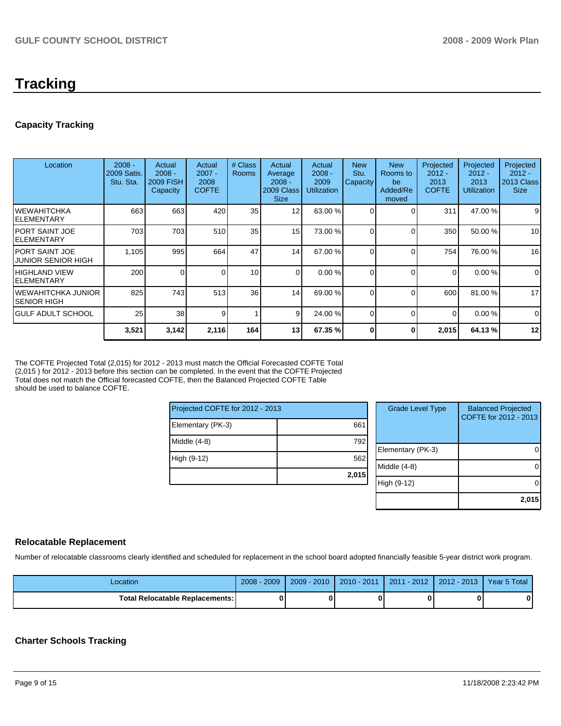## **Tracking**

## **Capacity Tracking**

| Location                                     | $2008 -$<br>2009 Satis.<br>Stu. Sta. | Actual<br>$2008 -$<br><b>2009 FISH</b><br>Capacity | Actual<br>$2007 -$<br>2008<br><b>COFTE</b> | # Class<br><b>Rooms</b> | Actual<br>Average<br>$2008 -$<br>2009 Class<br><b>Size</b> | Actual<br>$2008 -$<br>2009<br><b>Utilization</b> | <b>New</b><br>Stu.<br>Capacity | <b>New</b><br>Rooms to<br>be<br>Added/Re<br>moved | Projected<br>$2012 -$<br>2013<br><b>COFTE</b> | Projected<br>$2012 -$<br>2013<br><b>Utilization</b> | Projected<br>$2012 -$<br>2013 Class<br><b>Size</b> |
|----------------------------------------------|--------------------------------------|----------------------------------------------------|--------------------------------------------|-------------------------|------------------------------------------------------------|--------------------------------------------------|--------------------------------|---------------------------------------------------|-----------------------------------------------|-----------------------------------------------------|----------------------------------------------------|
| IWEWAHITCHKA<br>IELEMENTARY                  | 663                                  | 663                                                | 420                                        | 35                      | 12                                                         | 63.00 %                                          |                                | $\Omega$                                          | 311                                           | 47.00 %                                             | 9                                                  |
| IPORT SAINT JOE<br>IELEMENTARY               | 703                                  | 703                                                | 510                                        | 35 <sub>1</sub>         | 15                                                         | 73.00 %                                          |                                | $\Omega$                                          | 350                                           | 50.00 %                                             | 10                                                 |
| IPORT SAINT JOE<br><b>JUNIOR SENIOR HIGH</b> | 1,105                                | 995                                                | 664                                        | 47                      | 14                                                         | 67.00 %                                          |                                | $\Omega$                                          | 754                                           | 76.00 %                                             | 16                                                 |
| IHIGHLAND VIEW<br>IELEMENTARY                | 200                                  | 0                                                  |                                            | 10 <sup>1</sup>         | 0                                                          | 0.00%                                            | 0                              | $\Omega$                                          | 0                                             | 0.00%                                               | 0                                                  |
| IWEWAHITCHKA JUNIOR<br>ISENIOR HIGH          | 825                                  | 743                                                | 513                                        | 36                      | 14                                                         | 69.00 %                                          | 0                              | $\Omega$                                          | 600                                           | 81.00 %                                             | 17                                                 |
| IGULF ADULT SCHOOL                           | 25                                   | 38                                                 | 9                                          | 1                       | 9                                                          | 24.00 %                                          | $\Omega$                       | $\Omega$                                          | $\Omega$                                      | 0.00%                                               | 0                                                  |
|                                              | 3,521                                | 3,142                                              | 2,116                                      | 164                     | 13                                                         | 67.35 %                                          | 0                              | $\bf{0}$                                          | 2,015                                         | 64.13 %                                             | 12                                                 |

The COFTE Projected Total (2,015) for 2012 - 2013 must match the Official Forecasted COFTE Total (2,015 ) for 2012 - 2013 before this section can be completed. In the event that the COFTE Projected Total does not match the Official forecasted COFTE, then the Balanced Projected COFTE Table should be used to balance COFTE.

| Projected COFTE for 2012 - 2013 |       |      |  |  |  |
|---------------------------------|-------|------|--|--|--|
| Elementary (PK-3)               | 661   |      |  |  |  |
| Middle (4-8)                    | 792   | Eler |  |  |  |
| High (9-12)                     | 562   | Mid  |  |  |  |
|                                 | 2,015 |      |  |  |  |
|                                 |       | lial |  |  |  |

| <b>Grade Level Type</b> | <b>Balanced Projected</b><br>COFTE for 2012 - 2013 |
|-------------------------|----------------------------------------------------|
| Elementary (PK-3)       |                                                    |
| Middle $(4-8)$          |                                                    |
| High (9-12)             |                                                    |
|                         | 2,015                                              |

## **Relocatable Replacement**

Number of relocatable classrooms clearly identified and scheduled for replacement in the school board adopted financially feasible 5-year district work program.

| Location                               | $2008 - 2009$ | $2009 - 2010$ | 2010 - 2011 | 2011 - 2012 | l 2012 - 2013 l | Year 5 Total |
|----------------------------------------|---------------|---------------|-------------|-------------|-----------------|--------------|
| <b>Total Relocatable Replacements:</b> | O             |               |             |             |                 |              |

## **Charter Schools Tracking**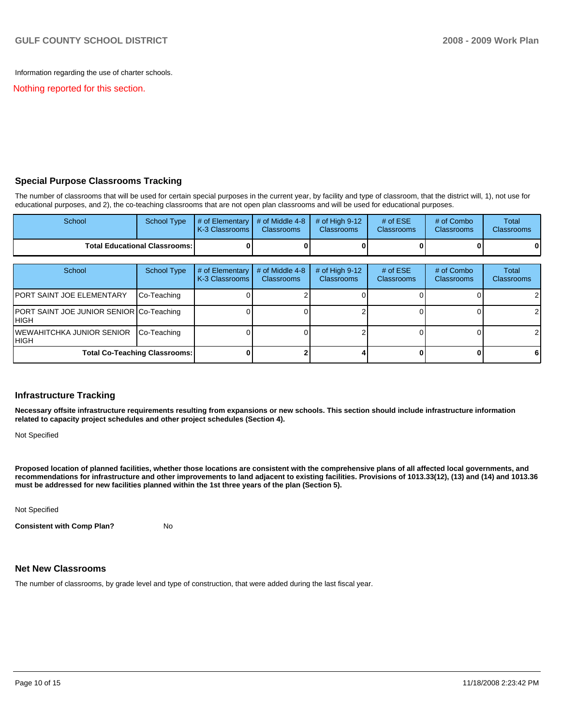Information regarding the use of charter schools.

Nothing reported for this section.

### **Special Purpose Classrooms Tracking**

The number of classrooms that will be used for certain special purposes in the current year, by facility and type of classroom, that the district will, 1), not use for educational purposes, and 2), the co-teaching classrooms that are not open plan classrooms and will be used for educational purposes.

| School                                 | School Type | $\parallel$ # of Elementary $\parallel$ # of Middle 4-8 $\parallel$ # of High 9-12<br><b>IK-3 Classrooms I</b> | <b>Classrooms</b> | <b>Classrooms</b> | # of $ESE$<br><b>Classrooms</b> | # of Combo<br><b>Classrooms</b> | Total<br><b>Classrooms</b> |
|----------------------------------------|-------------|----------------------------------------------------------------------------------------------------------------|-------------------|-------------------|---------------------------------|---------------------------------|----------------------------|
| <b>Total Educational Classrooms: I</b> |             |                                                                                                                |                   |                   |                                 | 0                               | $\bf{0}$                   |

| School                                            | School Type                          | # of Elementary<br>K-3 Classrooms | # of Middle 4-8<br><b>Classrooms</b> | # of High $9-12$<br><b>Classrooms</b> | # of $ESE$<br><b>Classrooms</b> | # of Combo<br><b>Classrooms</b> | Total<br><b>Classrooms</b> |
|---------------------------------------------------|--------------------------------------|-----------------------------------|--------------------------------------|---------------------------------------|---------------------------------|---------------------------------|----------------------------|
| <b>PORT SAINT JOE ELEMENTARY</b>                  | Co-Teaching                          |                                   |                                      |                                       |                                 |                                 | $\overline{2}$             |
| PORT SAINT JOE JUNIOR SENIOR Co-Teaching<br>IHIGH |                                      |                                   |                                      |                                       |                                 |                                 | $\overline{2}$             |
| <b>IWEWAHITCHKA JUNIOR SENIOR</b><br>IHIGH        | Co-Teaching                          |                                   |                                      |                                       |                                 |                                 | $\overline{2}$             |
|                                                   | <b>Total Co-Teaching Classrooms:</b> |                                   |                                      |                                       |                                 |                                 | 6                          |

#### **Infrastructure Tracking**

**Necessary offsite infrastructure requirements resulting from expansions or new schools. This section should include infrastructure information related to capacity project schedules and other project schedules (Section 4).** 

Not Specified

**Proposed location of planned facilities, whether those locations are consistent with the comprehensive plans of all affected local governments, and recommendations for infrastructure and other improvements to land adjacent to existing facilities. Provisions of 1013.33(12), (13) and (14) and 1013.36 must be addressed for new facilities planned within the 1st three years of the plan (Section 5).** 

Not Specified

**Consistent with Comp Plan?** No

#### **Net New Classrooms**

The number of classrooms, by grade level and type of construction, that were added during the last fiscal year.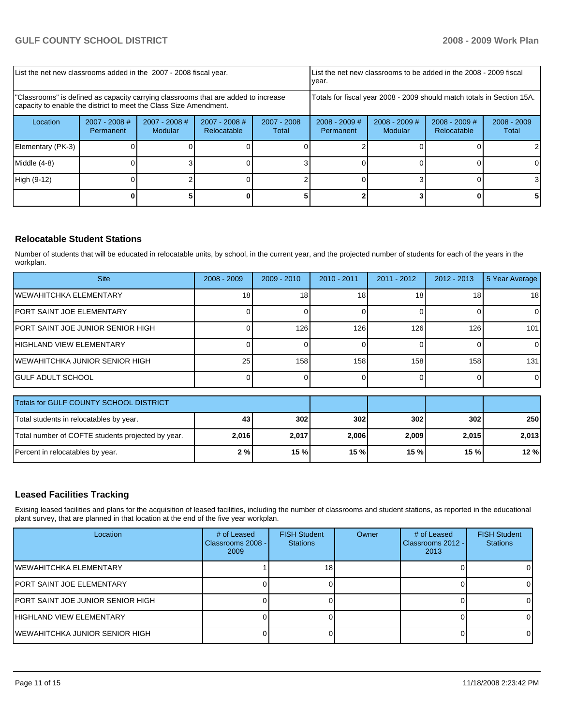| List the net new classrooms added in the 2007 - 2008 fiscal year.                                                                                       |                              |                            |                                |                        | List the net new classrooms to be added in the 2008 - 2009 fiscal<br>year. |                            |                                |                        |
|---------------------------------------------------------------------------------------------------------------------------------------------------------|------------------------------|----------------------------|--------------------------------|------------------------|----------------------------------------------------------------------------|----------------------------|--------------------------------|------------------------|
| "Classrooms" is defined as capacity carrying classrooms that are added to increase<br>capacity to enable the district to meet the Class Size Amendment. |                              |                            |                                |                        | Totals for fiscal year 2008 - 2009 should match totals in Section 15A.     |                            |                                |                        |
| Location                                                                                                                                                | $2007 - 2008$ #<br>Permanent | $2007 - 2008$ #<br>Modular | $2007 - 2008$ #<br>Relocatable | $2007 - 2008$<br>Total | $2008 - 2009$ #<br>Permanent                                               | $2008 - 2009$ #<br>Modular | $2008 - 2009$ #<br>Relocatable | $2008 - 2009$<br>Total |
| Elementary (PK-3)                                                                                                                                       |                              |                            |                                |                        |                                                                            |                            |                                |                        |
| Middle (4-8)                                                                                                                                            |                              |                            |                                |                        |                                                                            |                            |                                |                        |
| High (9-12)                                                                                                                                             |                              |                            |                                |                        |                                                                            |                            |                                |                        |
|                                                                                                                                                         |                              |                            |                                |                        |                                                                            |                            |                                |                        |

## **Relocatable Student Stations**

Number of students that will be educated in relocatable units, by school, in the current year, and the projected number of students for each of the years in the workplan.

| <b>Site</b>                        | $2008 - 2009$ | $2009 - 2010$ | $2010 - 2011$   | 2011 - 2012 | $2012 - 2013$ | 5 Year Average  |
|------------------------------------|---------------|---------------|-----------------|-------------|---------------|-----------------|
| IWEWAHITCHKA ELEMENTARY            | 18            | 18            | 18 <sub>1</sub> | 18          | 18            | 18 <sup>1</sup> |
| IPORT SAINT JOE ELEMENTARY         |               |               |                 |             |               |                 |
| IPORT SAINT JOE JUNIOR SENIOR HIGH |               | 126           | 126             | 126         | 126           | 101             |
| IHIGHLAND VIEW ELEMENTARY          |               |               |                 |             |               | $\Omega$        |
| IWEWAHITCHKA JUNIOR SENIOR HIGH    | 25            | 158           | 1581            | 158         | 158           | 131             |
| IGULF ADULT SCHOOL                 |               |               |                 |             |               | $\Omega$        |

| Totals for GULF COUNTY SCHOOL DISTRICT            |       |       |       |       |       |       |
|---------------------------------------------------|-------|-------|-------|-------|-------|-------|
| Total students in relocatables by year.           | 43    | 302   | 302   | 302   | 302   | 250 l |
| Total number of COFTE students projected by year. | 2,016 | 2,017 | 2,006 | 2,009 | 2.015 | 2,013 |
| Percent in relocatables by year.                  | 2%    | 15 %  | 15 %  | 15%   | 15%   | 12%   |

## **Leased Facilities Tracking**

Exising leased facilities and plans for the acquisition of leased facilities, including the number of classrooms and student stations, as reported in the educational plant survey, that are planned in that location at the end of the five year workplan.

| Location                           | # of Leased<br>Classrooms 2008 -<br>2009 | <b>FISH Student</b><br><b>Stations</b> | Owner | # of Leased<br>Classrooms 2012 - I<br>2013 | <b>FISH Student</b><br><b>Stations</b> |
|------------------------------------|------------------------------------------|----------------------------------------|-------|--------------------------------------------|----------------------------------------|
| IWEWAHITCHKA ELEMENTARY            |                                          | 18                                     |       |                                            |                                        |
| <b>IPORT SAINT JOE ELEMENTARY</b>  |                                          |                                        |       |                                            |                                        |
| IPORT SAINT JOE JUNIOR SENIOR HIGH |                                          |                                        |       |                                            |                                        |
| IHIGHLAND VIEW ELEMENTARY          |                                          |                                        |       |                                            |                                        |
| IWEWAHITCHKA JUNIOR SENIOR HIGH    |                                          |                                        |       |                                            |                                        |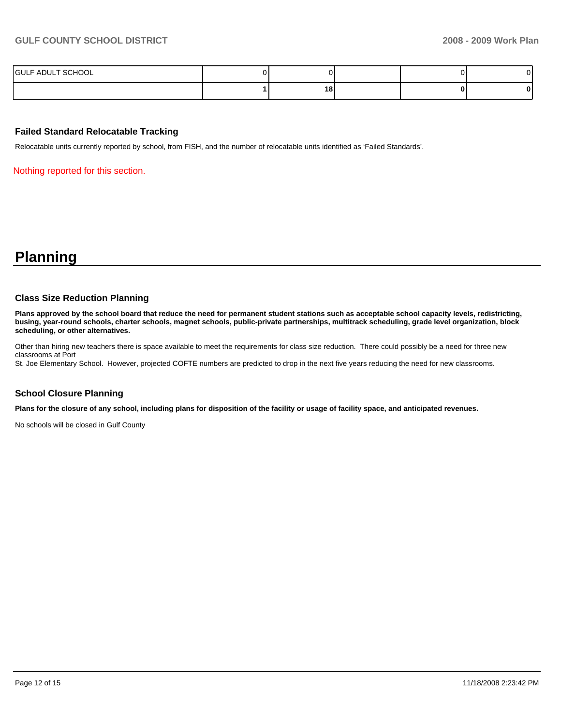| SCHOOL<br><b>I</b> GULF ADUL'<br>. |    |  |  |
|------------------------------------|----|--|--|
|                                    | 18 |  |  |

### **Failed Standard Relocatable Tracking**

Relocatable units currently reported by school, from FISH, and the number of relocatable units identified as 'Failed Standards'.

Nothing reported for this section.

## **Planning**

#### **Class Size Reduction Planning**

**Plans approved by the school board that reduce the need for permanent student stations such as acceptable school capacity levels, redistricting, busing, year-round schools, charter schools, magnet schools, public-private partnerships, multitrack scheduling, grade level organization, block scheduling, or other alternatives.** 

Other than hiring new teachers there is space available to meet the requirements for class size reduction. There could possibly be a need for three new classrooms at Port

St. Joe Elementary School. However, projected COFTE numbers are predicted to drop in the next five years reducing the need for new classrooms.

#### **School Closure Planning**

**Plans for the closure of any school, including plans for disposition of the facility or usage of facility space, and anticipated revenues.** 

No schools will be closed in Gulf County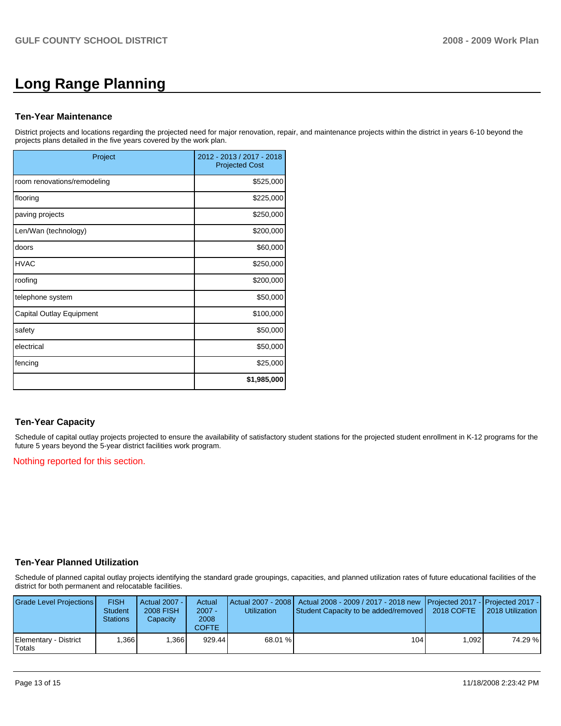# **Long Range Planning**

#### **Ten-Year Maintenance**

District projects and locations regarding the projected need for major renovation, repair, and maintenance projects within the district in years 6-10 beyond the projects plans detailed in the five years covered by the work plan.

| Project                     | 2012 - 2013 / 2017 - 2018<br><b>Projected Cost</b> |
|-----------------------------|----------------------------------------------------|
| room renovations/remodeling | \$525,000                                          |
| flooring                    | \$225,000                                          |
| paving projects             | \$250,000                                          |
| Len/Wan (technology)        | \$200,000                                          |
| doors                       | \$60,000                                           |
| <b>HVAC</b>                 | \$250,000                                          |
| roofing                     | \$200,000                                          |
| telephone system            | \$50,000                                           |
| Capital Outlay Equipment    | \$100,000                                          |
| safety                      | \$50,000                                           |
| electrical                  | \$50,000                                           |
| fencing                     | \$25,000                                           |
|                             | \$1,985,000                                        |

## **Ten-Year Capacity**

Schedule of capital outlay projects projected to ensure the availability of satisfactory student stations for the projected student enrollment in K-12 programs for the future 5 years beyond the 5-year district facilities work program.

#### Nothing reported for this section.

## **Ten-Year Planned Utilization**

Schedule of planned capital outlay projects identifying the standard grade groupings, capacities, and planned utilization rates of future educational facilities of the district for both permanent and relocatable facilities.

| Grade Level Projections         | <b>FISH</b><br><b>Student</b><br><b>Stations</b> | Actual 2007 - I<br><b>2008 FISH</b><br>Capacity | Actual<br>$2007 -$<br>2008<br><b>COFTE</b> | <b>Utilization</b> | Actual 2007 - 2008   Actual 2008 - 2009 / 2017 - 2018 new   Projected 2017 -   Projected 2017 -<br>Student Capacity to be added/removed   2018 COFTE |       | 2018 Utilization |
|---------------------------------|--------------------------------------------------|-------------------------------------------------|--------------------------------------------|--------------------|------------------------------------------------------------------------------------------------------------------------------------------------------|-------|------------------|
| Elementary - District<br>Totals | .366                                             | .366                                            | 929.44                                     | 68.01 %            | 104 I                                                                                                                                                | 1.092 | 74.29 %          |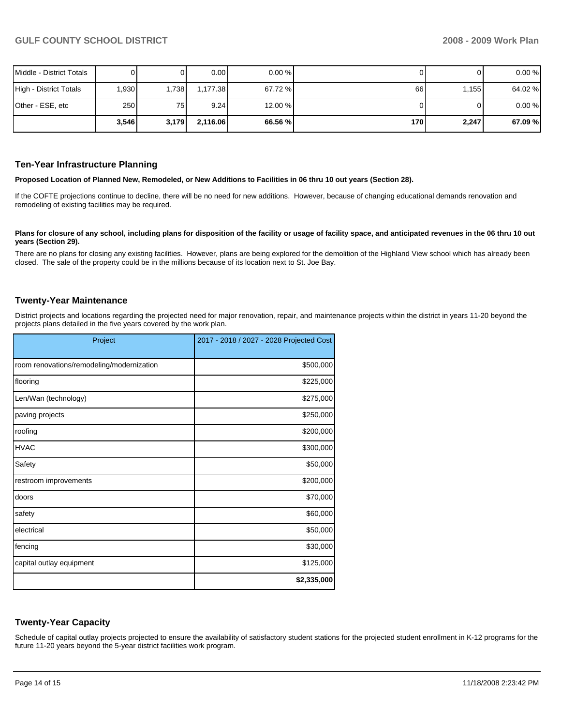| Middle - District Totals |       |       | 0.00     | 0.00%   |     | 01    | 0.00%   |
|--------------------------|-------|-------|----------|---------|-----|-------|---------|
| High - District Totals   | 0.930 | ,738  | 1.177.38 | 67.72 % | 66  | 1.155 | 64.02 % |
| Other - ESE, etc         | 250   | 75    | 9.24     | 12.00 % |     | 01    | 0.00%   |
|                          | 3,546 | 3,179 | 2,116.06 | 66.56 % | 170 | 2,247 | 67.09 % |

#### **Ten-Year Infrastructure Planning**

**Proposed Location of Planned New, Remodeled, or New Additions to Facilities in 06 thru 10 out years (Section 28).** 

If the COFTE projections continue to decline, there will be no need for new additions. However, because of changing educational demands renovation and remodeling of existing facilities may be required.

#### Plans for closure of any school, including plans for disposition of the facility or usage of facility space, and anticipated revenues in the 06 thru 10 out **years (Section 29).**

There are no plans for closing any existing facilities. However, plans are being explored for the demolition of the Highland View school which has already been closed. The sale of the property could be in the millions because of its location next to St. Joe Bay.

#### **Twenty-Year Maintenance**

District projects and locations regarding the projected need for major renovation, repair, and maintenance projects within the district in years 11-20 beyond the projects plans detailed in the five years covered by the work plan.

| Project                                   | 2017 - 2018 / 2027 - 2028 Projected Cost |
|-------------------------------------------|------------------------------------------|
|                                           |                                          |
| room renovations/remodeling/modernization | \$500,000                                |
| flooring                                  | \$225,000                                |
| Len/Wan (technology)                      | \$275,000                                |
| paving projects                           | \$250,000                                |
| roofing                                   | \$200,000                                |
| <b>HVAC</b>                               | \$300,000                                |
| Safety                                    | \$50,000                                 |
| restroom improvements                     | \$200,000                                |
| doors                                     | \$70,000                                 |
| safety                                    | \$60,000                                 |
| electrical                                | \$50,000                                 |
| fencing                                   | \$30,000                                 |
| capital outlay equipment                  | \$125,000                                |
|                                           | \$2,335,000                              |

#### **Twenty-Year Capacity**

Schedule of capital outlay projects projected to ensure the availability of satisfactory student stations for the projected student enrollment in K-12 programs for the future 11-20 years beyond the 5-year district facilities work program.